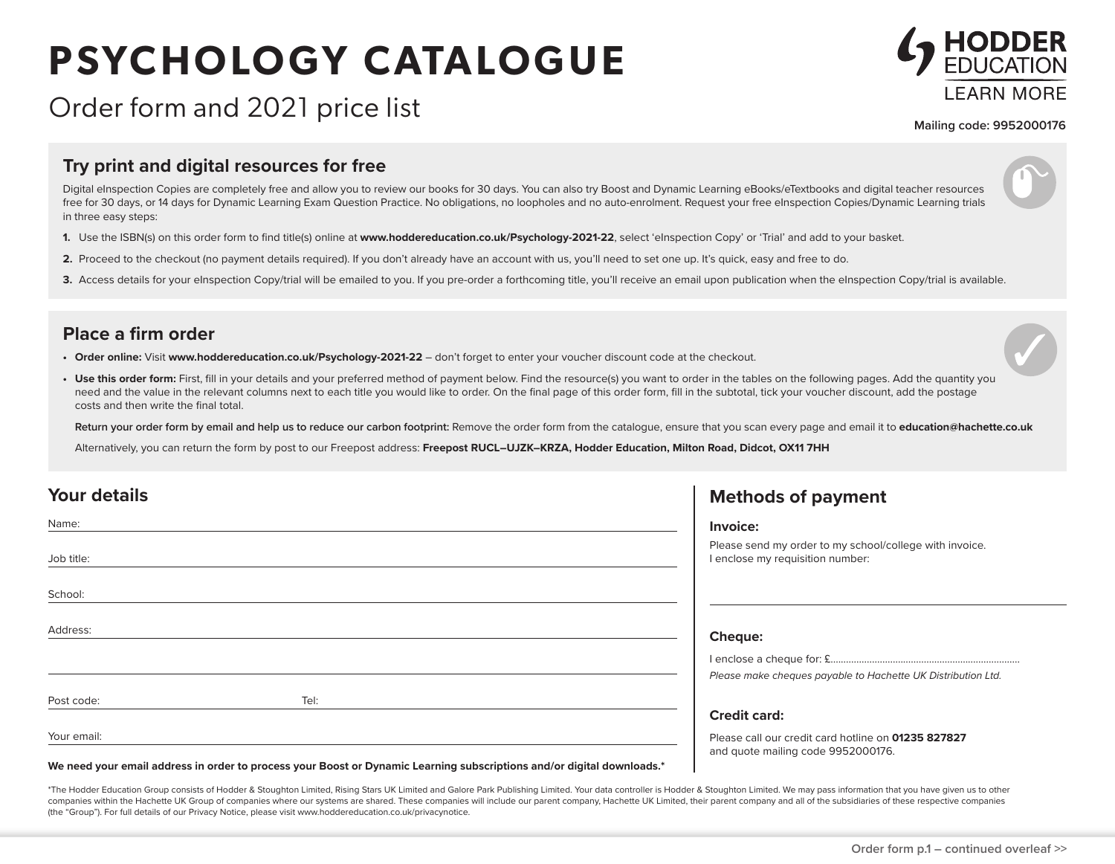# **PSYCHOLOGY CATALOGUE**



## Order form and 2021 price list

**Mailing code: 9952000176**

### **Try print and digital resources for free**

Digital eInspection Copies are completely free and allow you to review our books for 30 days. You can also try Boost and Dynamic Learning eBooks/eTextbooks and digital teacher resources free for 30 days, or 14 days for Dynamic Learning Exam Question Practice. No obligations, no loopholes and no auto-enrolment. Request your free eInspection Copies/Dynamic Learning trials in three easy steps:

- **1.** Use the ISBN(s) on this order form to find title(s) online at **www.hoddereducation.co.uk/Psychology-2021-22**, select 'eInspection Copy' or 'Trial' and add to your basket.
- **2.** Proceed to the checkout (no payment details required). If you don't already have an account with us, you'll need to set one up. It's quick, easy and free to do.
- 3. Access details for your eInspection Copy/trial will be emailed to you. If you pre-order a forthcoming title, you'll receive an email upon publication when the eInspection Copy/trial is available.

### **Place a firm order**

- **• Order online:** Visit **www.hoddereducation.co.uk/Psychology-2021-22** don't forget to enter your voucher discount code at the checkout.
- Use this order form: First, fill in your details and your preferred method of payment below. Find the resource(s) you want to order in the tables on the following pages. Add the quantity you need and the value in the relevant columns next to each title you would like to order. On the final page of this order form, fill in the subtotal, tick your voucher discount, add the postage costs and then write the final total.

**Return your order form by email and help us to reduce our carbon footprint:** Remove the order form from the catalogue, ensure that you scan every page and email it to **education@hachette.co.uk**

Alternatively, you can return the form by post to our Freepost address: Freepost RUCL-UJZK-KRZA, Hodder Education, Milton Road, Didcot, OX11 7HH

| Your details |      | <b>Methods of payment</b>                                                                   |
|--------------|------|---------------------------------------------------------------------------------------------|
| Name:        |      | Invoice:                                                                                    |
| Job title:   |      | Please send my order to my school/college with invoice.<br>I enclose my requisition number: |
| School:      |      |                                                                                             |
| Address:     |      | Cheque:                                                                                     |
|              |      |                                                                                             |
|              |      | Please make cheques payable to Hachette UK Distribution Ltd.                                |
| Post code:   | Tel: |                                                                                             |
|              |      | <b>Credit card:</b>                                                                         |
| Your email:  |      | Please call our credit card hotline on 01235 827827<br>and quote mailing code 9952000176.   |
|              |      |                                                                                             |

**We need your email address in order to process your Boost or Dynamic Learning subscriptions and/or digital downloads.\***

\*The Hodder Education Group consists of Hodder & Stoughton Limited, Rising Stars UK Limited and Galore Park Publishing Limited. Your data controller is Hodder & Stoughton Limited. We may pass information that vou have give companies within the Hachette UK Group of companies where our systems are shared. These companies will include our parent company, Hachette UK Limited, their parent company and all of the subsidiaries of these respective c (the "Group"). For full details of our Privacy Notice, please visit www.hoddereducation.co.uk/privacynotice.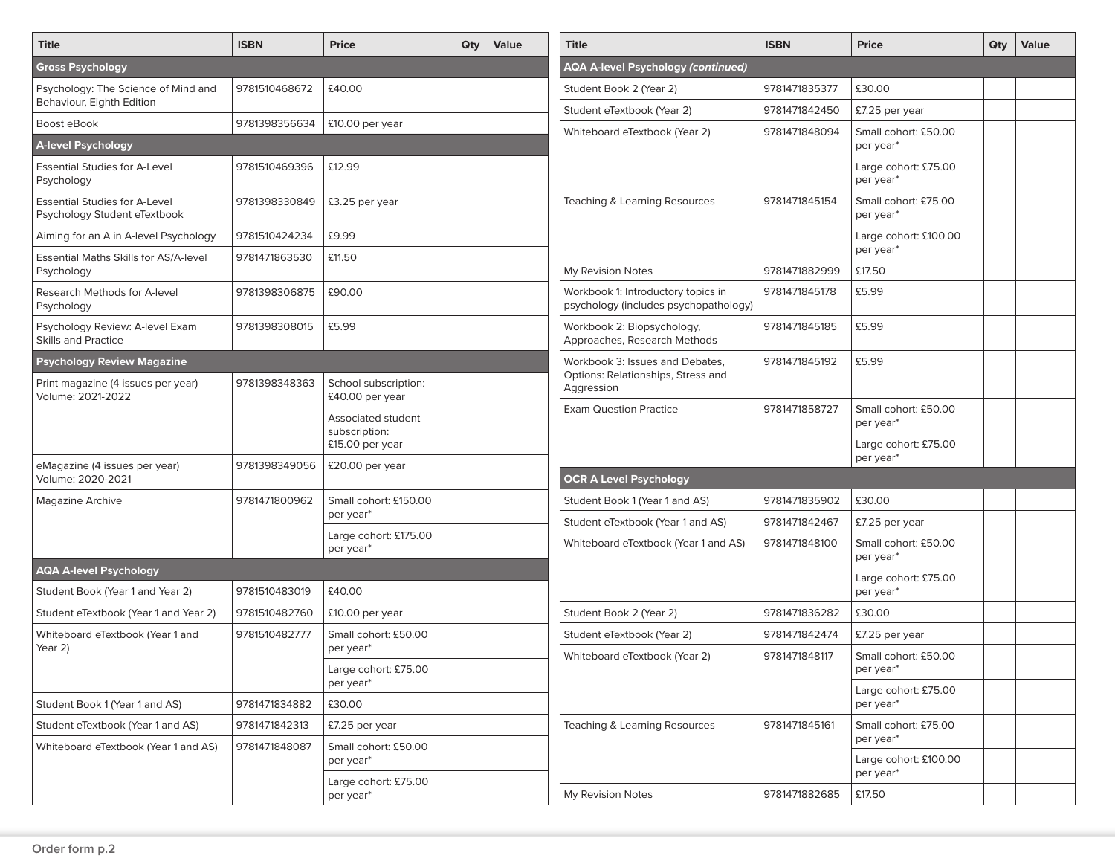| <b>Title</b>                                                         | <b>ISBN</b>   | <b>Price</b>                                           | Qty | <b>Value</b> | <b>Title</b>                                    |  |
|----------------------------------------------------------------------|---------------|--------------------------------------------------------|-----|--------------|-------------------------------------------------|--|
| <b>Gross Psychology</b>                                              |               |                                                        |     |              | <b>AQA A-level Psychol</b>                      |  |
| Psychology: The Science of Mind and<br>Behaviour, Eighth Edition     | 9781510468672 | £40.00                                                 |     |              | Student Book 2 (Year                            |  |
| Boost eBook                                                          | 9781398356634 | £10.00 per year                                        |     |              | Student eTextbook (Ye                           |  |
| <b>A-level Psychology</b>                                            |               |                                                        |     |              | Whiteboard eTextbool                            |  |
| <b>Essential Studies for A-Level</b><br>Psychology                   | 9781510469396 | £12.99                                                 |     |              |                                                 |  |
| <b>Essential Studies for A-Level</b><br>Psychology Student eTextbook | 9781398330849 | £3.25 per year                                         |     |              | Teaching & Learning F                           |  |
| Aiming for an A in A-level Psychology                                | 9781510424234 | £9.99                                                  |     |              |                                                 |  |
| Essential Maths Skills for AS/A-level<br>Psychology                  | 9781471863530 | £11.50                                                 |     |              | My Revision Notes                               |  |
| Research Methods for A-level<br>Psychology                           | 9781398306875 | £90.00                                                 |     |              | Workbook 1: Introduct<br>psychology (includes ) |  |
| Psychology Review: A-level Exam<br><b>Skills and Practice</b>        | 9781398308015 | £5.99                                                  |     |              | Workbook 2: Biopsych<br>Approaches, Research    |  |
| <b>Psychology Review Magazine</b>                                    |               |                                                        |     |              | Workbook 3: Issues ar                           |  |
| Print magazine (4 issues per year)<br>Volume: 2021-2022              | 9781398348363 | School subscription:<br>£40.00 per year                |     |              | <b>Options: Relationships</b><br>Aggression     |  |
|                                                                      |               | Associated student<br>subscription:<br>£15.00 per year |     |              | <b>Exam Question Practio</b>                    |  |
| eMagazine (4 issues per year)<br>Volume: 2020-2021                   | 9781398349056 | £20.00 per year                                        |     |              | <b>OCR A Level Psychol</b>                      |  |
| <b>Magazine Archive</b>                                              | 9781471800962 | Small cohort: £150.00<br>per year*                     |     |              | Student Book 1 (Year 1                          |  |
|                                                                      |               | Large cohort: £175.00<br>per year*                     |     |              | Student eTextbook (Ye<br>Whiteboard eTextbool   |  |
| <b>AQA A-level Psychology</b>                                        |               |                                                        |     |              |                                                 |  |
| Student Book (Year 1 and Year 2)                                     | 9781510483019 | £40.00                                                 |     |              |                                                 |  |
| Student eTextbook (Year 1 and Year 2)                                | 9781510482760 | £10.00 per year                                        |     |              | Student Book 2 (Year:                           |  |
| Whiteboard eTextbook (Year 1 and<br>Year 2)                          | 9781510482777 | Small cohort: £50.00<br>per year*                      |     |              | Student eTextbook (Ye<br>Whiteboard eTextbook   |  |
|                                                                      |               | Large cohort: £75.00<br>per year*                      |     |              |                                                 |  |
| Student Book 1 (Year 1 and AS)                                       | 9781471834882 | £30.00                                                 |     |              |                                                 |  |
| Student eTextbook (Year 1 and AS)                                    | 9781471842313 | £7.25 per year                                         |     |              | Teaching & Learning F                           |  |
| Whiteboard eTextbook (Year 1 and AS)                                 | 9781471848087 | Small cohort: £50.00<br>per year*                      |     |              |                                                 |  |
|                                                                      |               | Large cohort: £75.00<br>per year*                      |     |              | My Revision Notes                               |  |
|                                                                      |               |                                                        |     |              |                                                 |  |

| <b>Title</b>                                                                        | <b>ISBN</b>   | <b>Price</b>                       | Qty | <b>Value</b> |
|-------------------------------------------------------------------------------------|---------------|------------------------------------|-----|--------------|
| <b>AQA A-level Psychology (continued)</b>                                           |               |                                    |     |              |
| Student Book 2 (Year 2)                                                             | 9781471835377 | £30.00                             |     |              |
| Student eTextbook (Year 2)                                                          | 9781471842450 | £7.25 per year                     |     |              |
| Whiteboard eTextbook (Year 2)                                                       | 9781471848094 | Small cohort: £50.00<br>per year*  |     |              |
|                                                                                     |               | Large cohort: £75.00<br>per year*  |     |              |
| Teaching & Learning Resources                                                       | 9781471845154 | Small cohort: £75.00<br>per year*  |     |              |
|                                                                                     |               | Large cohort: £100.00<br>per year* |     |              |
| My Revision Notes                                                                   | 9781471882999 | £17.50                             |     |              |
| Workbook 1: Introductory topics in<br>psychology (includes psychopathology)         | 9781471845178 | £5.99                              |     |              |
| Workbook 2: Biopsychology,<br>Approaches, Research Methods                          | 9781471845185 | £5.99                              |     |              |
| Workbook 3: Issues and Debates,<br>Options: Relationships, Stress and<br>Aggression | 9781471845192 | £5.99                              |     |              |
| <b>Exam Question Practice</b>                                                       | 9781471858727 | Small cohort: £50.00<br>per year*  |     |              |
|                                                                                     |               | Large cohort: £75.00<br>per year*  |     |              |
| <b>OCR A Level Psychology</b>                                                       |               |                                    |     |              |
| Student Book 1 (Year 1 and AS)                                                      | 9781471835902 | £30.00                             |     |              |
| Student eTextbook (Year 1 and AS)                                                   | 9781471842467 | £7.25 per year                     |     |              |
| Whiteboard eTextbook (Year 1 and AS)                                                | 9781471848100 | Small cohort: £50.00<br>per year*  |     |              |
|                                                                                     |               | Large cohort: £75.00<br>per year*  |     |              |
| Student Book 2 (Year 2)                                                             | 9781471836282 | £30.00                             |     |              |
| Student eTextbook (Year 2)                                                          | 9781471842474 | £7.25 per year                     |     |              |
| Whiteboard eTextbook (Year 2)                                                       | 9781471848117 | Small cohort: £50.00<br>per year*  |     |              |
|                                                                                     |               | Large cohort: £75.00<br>per year*  |     |              |
| Teaching & Learning Resources                                                       | 9781471845161 | Small cohort: £75.00<br>per year*  |     |              |
|                                                                                     |               | Large cohort: £100.00<br>per year* |     |              |
| My Revision Notes                                                                   | 9781471882685 | £17.50                             |     |              |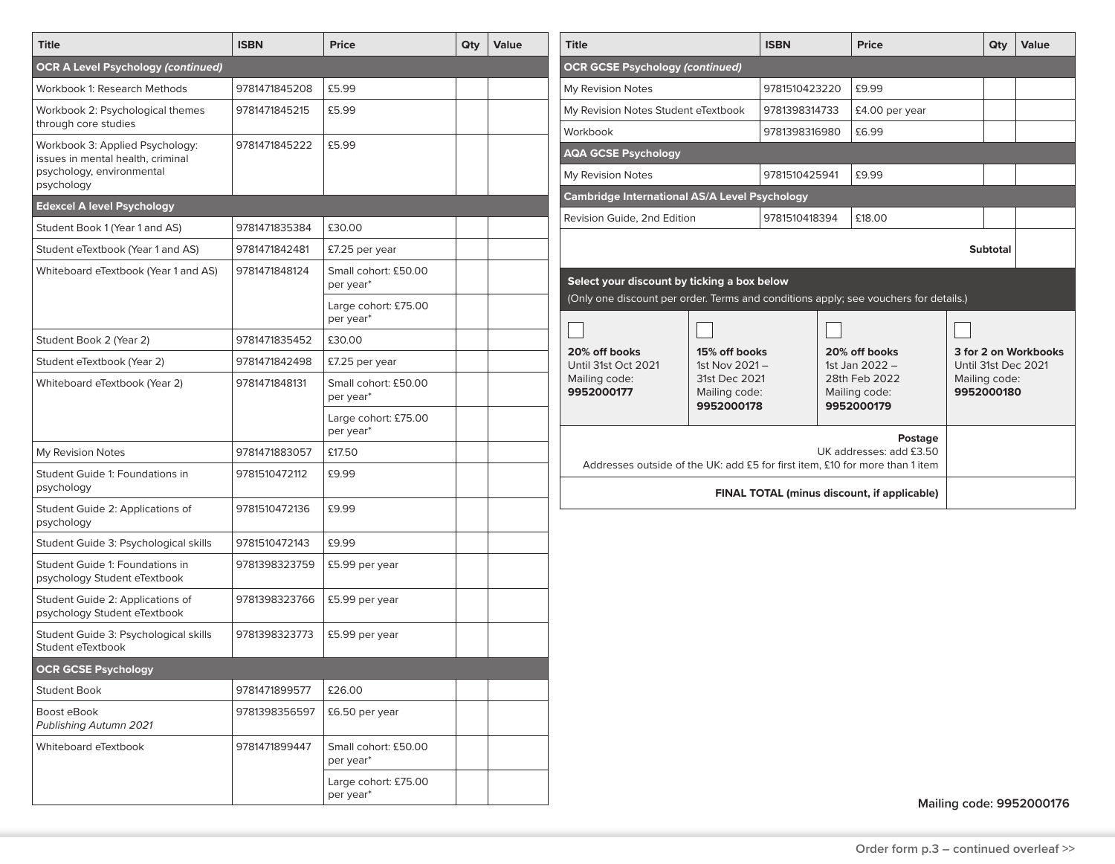| <b>Title</b>                                                         | <b>ISBN</b>   | <b>Price</b>                      | Qty | Value                                  | <b>Title</b>                                                                         |                                | <b>ISBN</b>                    | <b>Price</b>                                |                                              | Qty                                         | Value                       |  |
|----------------------------------------------------------------------|---------------|-----------------------------------|-----|----------------------------------------|--------------------------------------------------------------------------------------|--------------------------------|--------------------------------|---------------------------------------------|----------------------------------------------|---------------------------------------------|-----------------------------|--|
| <b>OCR A Level Psychology (continued)</b>                            |               |                                   |     | <b>OCR GCSE Psychology (continued)</b> |                                                                                      |                                |                                |                                             |                                              |                                             |                             |  |
| Workbook 1: Research Methods                                         | 9781471845208 | £5.99                             |     |                                        | My Revision Notes                                                                    |                                | 9781510423220                  | £9.99                                       |                                              |                                             |                             |  |
| Workbook 2: Psychological themes<br>through core studies             | 9781471845215 | £5.99                             |     |                                        | My Revision Notes Student eTextbook                                                  |                                | 9781398314733                  |                                             | £4.00 per year                               |                                             |                             |  |
|                                                                      | 9781471845222 | £5.99                             |     |                                        | Workbook                                                                             |                                | 9781398316980                  | £6.99                                       |                                              |                                             |                             |  |
| Workbook 3: Applied Psychology:<br>issues in mental health, criminal |               |                                   |     |                                        | <b>AQA GCSE Psychology</b>                                                           |                                |                                |                                             |                                              |                                             |                             |  |
| psychology, environmental<br>psychology                              |               |                                   |     |                                        | My Revision Notes                                                                    |                                | 9781510425941                  | £9.99                                       |                                              |                                             |                             |  |
| <b>Edexcel A level Psychology</b>                                    |               |                                   |     |                                        | <b>Cambridge International AS/A Level Psychology</b>                                 |                                |                                |                                             |                                              |                                             |                             |  |
| Student Book 1 (Year 1 and AS)                                       | 9781471835384 | £30.00                            |     |                                        | Revision Guide, 2nd Edition                                                          |                                | 9781510418394                  | £18.00                                      |                                              |                                             |                             |  |
| Student eTextbook (Year 1 and AS)                                    | 9781471842481 | £7.25 per year                    |     |                                        |                                                                                      |                                |                                |                                             |                                              | <b>Subtotal</b>                             |                             |  |
| Whiteboard eTextbook (Year 1 and AS)                                 | 9781471848124 | Small cohort: £50.00<br>per year* |     |                                        | Select your discount by ticking a box below                                          |                                |                                |                                             |                                              |                                             |                             |  |
|                                                                      |               | Large cohort: £75.00<br>per year* |     |                                        | (Only one discount per order. Terms and conditions apply; see vouchers for details.) |                                |                                |                                             |                                              |                                             |                             |  |
| Student Book 2 (Year 2)                                              | 9781471835452 | £30.00                            |     |                                        |                                                                                      |                                |                                |                                             |                                              |                                             |                             |  |
| Student eTextbook (Year 2)                                           | 9781471842498 | £7.25 per year                    |     |                                        | 20% off books<br>Until 31st Oct 2021                                                 | 15% off books<br>1st Nov 2021- |                                | 20% off books<br>1st Jan 2022 -             |                                              | 3 for 2 on Workbooks<br>Until 31st Dec 2021 |                             |  |
| Whiteboard eTextbook (Year 2)                                        | 9781471848131 | Small cohort: £50.00<br>per year* |     |                                        | Mailing code:<br>9952000177                                                          |                                | 31st Dec 2021<br>Mailing code: |                                             | 28th Feb 2022<br>Mailing code:<br>9952000179 |                                             | Mailing code:<br>9952000180 |  |
|                                                                      |               | Large cohort: £75.00<br>per year* |     |                                        | 9952000178                                                                           |                                |                                |                                             |                                              |                                             |                             |  |
| My Revision Notes                                                    | 9781471883057 | £17.50                            |     |                                        |                                                                                      |                                |                                | UK addresses: add £3.50                     | Postage                                      |                                             |                             |  |
| Student Guide 1: Foundations in<br>psychology                        | 9781510472112 | £9.99                             |     |                                        | Addresses outside of the UK: add £5 for first item, £10 for more than 1 item         |                                |                                | FINAL TOTAL (minus discount, if applicable) |                                              |                                             |                             |  |
| Student Guide 2: Applications of<br>psychology                       | 9781510472136 | £9.99                             |     |                                        |                                                                                      |                                |                                |                                             |                                              |                                             |                             |  |
| Student Guide 3: Psychological skills                                | 9781510472143 | £9.99                             |     |                                        |                                                                                      |                                |                                |                                             |                                              |                                             |                             |  |
| Student Guide 1: Foundations in<br>psychology Student eTextbook      | 9781398323759 | £5.99 per year                    |     |                                        |                                                                                      |                                |                                |                                             |                                              |                                             |                             |  |
| Student Guide 2: Applications of<br>psychology Student eTextbook     | 9781398323766 | £5.99 per year                    |     |                                        |                                                                                      |                                |                                |                                             |                                              |                                             |                             |  |
| Student Guide 3: Psychological skills<br>Student eTextbook           | 9781398323773 | £5.99 per year                    |     |                                        |                                                                                      |                                |                                |                                             |                                              |                                             |                             |  |
| <b>OCR GCSE Psychology</b>                                           |               |                                   |     |                                        |                                                                                      |                                |                                |                                             |                                              |                                             |                             |  |
| <b>Student Book</b>                                                  | 9781471899577 | £26.00                            |     |                                        |                                                                                      |                                |                                |                                             |                                              |                                             |                             |  |
| Boost eBook<br>Publishing Autumn 2021                                | 9781398356597 | £6.50 per year                    |     |                                        |                                                                                      |                                |                                |                                             |                                              |                                             |                             |  |
| Whiteboard eTextbook                                                 | 9781471899447 | Small cohort: £50.00<br>per year* |     |                                        |                                                                                      |                                |                                |                                             |                                              |                                             |                             |  |
|                                                                      |               | Large cohort: £75.00<br>per year* |     |                                        |                                                                                      |                                |                                |                                             |                                              | Mailing code: 9952000176                    |                             |  |